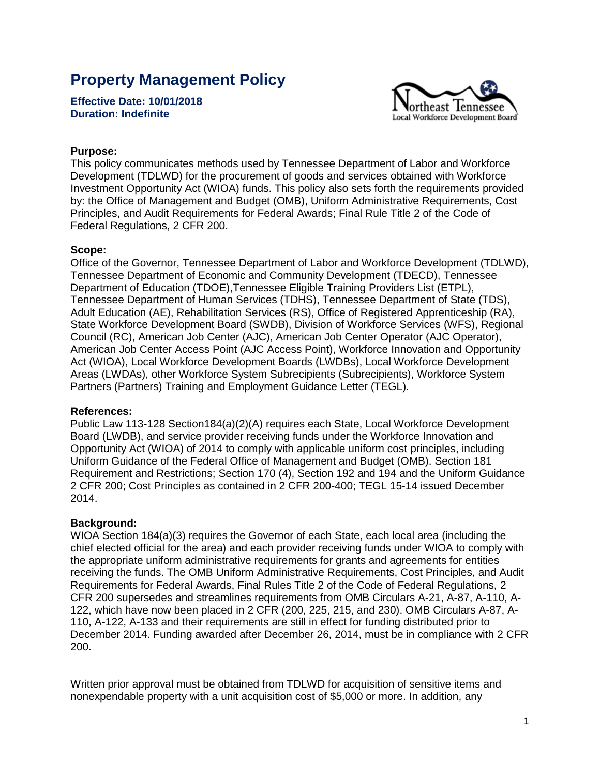# **Property Management Policy**

**Effective Date: 10/01/2018 Duration: Indefinite** 



# **Purpose:**

This policy communicates methods used by Tennessee Department of Labor and Workforce Development (TDLWD) for the procurement of goods and services obtained with Workforce Investment Opportunity Act (WIOA) funds. This policy also sets forth the requirements provided by: the Office of Management and Budget (OMB), Uniform Administrative Requirements, Cost Principles, and Audit Requirements for Federal Awards; Final Rule Title 2 of the Code of Federal Regulations, 2 CFR 200.

#### **Scope:**

Office of the Governor, Tennessee Department of Labor and Workforce Development (TDLWD), Tennessee Department of Economic and Community Development (TDECD), Tennessee Department of Education (TDOE),Tennessee Eligible Training Providers List (ETPL), Tennessee Department of Human Services (TDHS), Tennessee Department of State (TDS), Adult Education (AE), Rehabilitation Services (RS), Office of Registered Apprenticeship (RA), State Workforce Development Board (SWDB), Division of Workforce Services (WFS), Regional Council (RC), American Job Center (AJC), American Job Center Operator (AJC Operator), American Job Center Access Point (AJC Access Point), Workforce Innovation and Opportunity Act (WIOA), Local Workforce Development Boards (LWDBs), Local Workforce Development Areas (LWDAs), other Workforce System Subrecipients (Subrecipients), Workforce System Partners (Partners) Training and Employment Guidance Letter (TEGL).

## **References:**

Public Law 113-128 Section184(a)(2)(A) requires each State, Local Workforce Development Board (LWDB), and service provider receiving funds under the Workforce Innovation and Opportunity Act (WIOA) of 2014 to comply with applicable uniform cost principles, including Uniform Guidance of the Federal Office of Management and Budget (OMB). Section 181 Requirement and Restrictions; Section 170 (4), Section 192 and 194 and the Uniform Guidance 2 CFR 200; Cost Principles as contained in 2 CFR 200-400; TEGL 15-14 issued December 2014.

## **Background:**

WIOA Section 184(a)(3) requires the Governor of each State, each local area (including the chief elected official for the area) and each provider receiving funds under WIOA to comply with the appropriate uniform administrative requirements for grants and agreements for entities receiving the funds. The OMB Uniform Administrative Requirements, Cost Principles, and Audit Requirements for Federal Awards, Final Rules Title 2 of the Code of Federal Regulations, 2 CFR 200 supersedes and streamlines requirements from OMB Circulars A-21, A-87, A-110, A-122, which have now been placed in 2 CFR (200, 225, 215, and 230). OMB Circulars A-87, A-110, A-122, A-133 and their requirements are still in effect for funding distributed prior to December 2014. Funding awarded after December 26, 2014, must be in compliance with 2 CFR 200.

Written prior approval must be obtained from TDLWD for acquisition of sensitive items and nonexpendable property with a unit acquisition cost of \$5,000 or more. In addition, any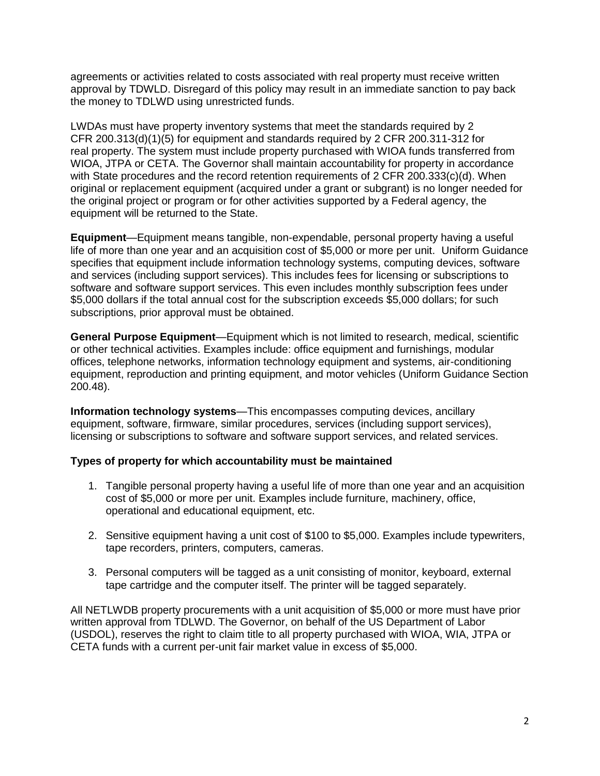agreements or activities related to costs associated with real property must receive written approval by TDWLD. Disregard of this policy may result in an immediate sanction to pay back the money to TDLWD using unrestricted funds.

LWDAs must have property inventory systems that meet the standards required by 2 CFR 200.313(d)(1)(5) for equipment and standards required by 2 CFR 200.311-312 for real property. The system must include property purchased with WIOA funds transferred from WIOA, JTPA or CETA. The Governor shall maintain accountability for property in accordance with State procedures and the record retention requirements of 2 CFR 200.333(c)(d). When original or replacement equipment (acquired under a grant or subgrant) is no longer needed for the original project or program or for other activities supported by a Federal agency, the equipment will be returned to the State.

**Equipment**—Equipment means tangible, non-expendable, personal property having a useful life of more than one year and an acquisition cost of \$5,000 or more per unit. Uniform Guidance specifies that equipment include information technology systems, computing devices, software and services (including support services). This includes fees for licensing or subscriptions to software and software support services. This even includes monthly subscription fees under \$5,000 dollars if the total annual cost for the subscription exceeds \$5,000 dollars; for such subscriptions, prior approval must be obtained.

**General Purpose Equipment**—Equipment which is not limited to research, medical, scientific or other technical activities. Examples include: office equipment and furnishings, modular offices, telephone networks, information technology equipment and systems, air-conditioning equipment, reproduction and printing equipment, and motor vehicles (Uniform Guidance Section 200.48).

**Information technology systems**—This encompasses computing devices, ancillary equipment, software, firmware, similar procedures, services (including support services), licensing or subscriptions to software and software support services, and related services.

## **Types of property for which accountability must be maintained**

- 1. Tangible personal property having a useful life of more than one year and an acquisition cost of \$5,000 or more per unit. Examples include furniture, machinery, office, operational and educational equipment, etc.
- 2. Sensitive equipment having a unit cost of \$100 to \$5,000. Examples include typewriters, tape recorders, printers, computers, cameras.
- 3. Personal computers will be tagged as a unit consisting of monitor, keyboard, external tape cartridge and the computer itself. The printer will be tagged separately.

All NETLWDB property procurements with a unit acquisition of \$5,000 or more must have prior written approval from TDLWD. The Governor, on behalf of the US Department of Labor (USDOL), reserves the right to claim title to all property purchased with WIOA, WIA, JTPA or CETA funds with a current per-unit fair market value in excess of \$5,000.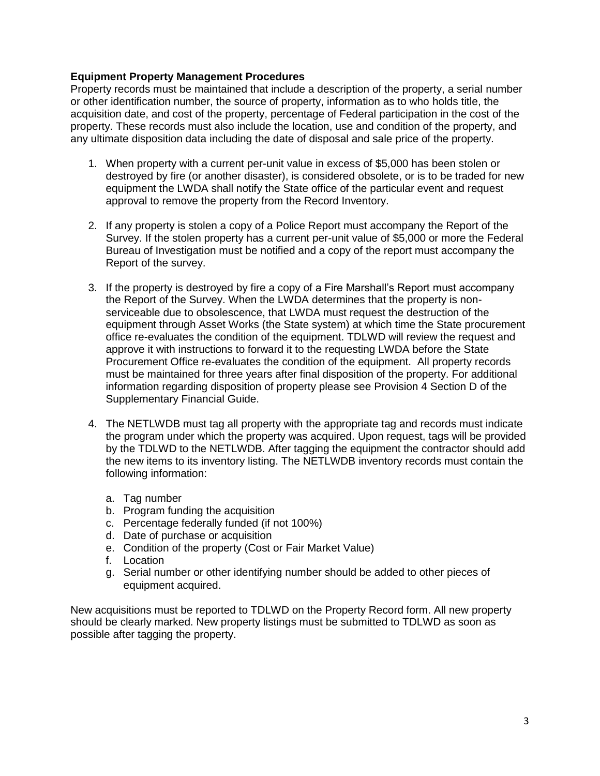## **Equipment Property Management Procedures**

Property records must be maintained that include a description of the property, a serial number or other identification number, the source of property, information as to who holds title, the acquisition date, and cost of the property, percentage of Federal participation in the cost of the property. These records must also include the location, use and condition of the property, and any ultimate disposition data including the date of disposal and sale price of the property.

- 1. When property with a current per-unit value in excess of \$5,000 has been stolen or destroyed by fire (or another disaster), is considered obsolete, or is to be traded for new equipment the LWDA shall notify the State office of the particular event and request approval to remove the property from the Record Inventory.
- 2. If any property is stolen a copy of a Police Report must accompany the Report of the Survey. If the stolen property has a current per-unit value of \$5,000 or more the Federal Bureau of Investigation must be notified and a copy of the report must accompany the Report of the survey.
- 3. If the property is destroyed by fire a copy of a Fire Marshall's Report must accompany the Report of the Survey. When the LWDA determines that the property is nonserviceable due to obsolescence, that LWDA must request the destruction of the equipment through Asset Works (the State system) at which time the State procurement office re-evaluates the condition of the equipment. TDLWD will review the request and approve it with instructions to forward it to the requesting LWDA before the State Procurement Office re-evaluates the condition of the equipment. All property records must be maintained for three years after final disposition of the property. For additional information regarding disposition of property please see Provision 4 Section D of the Supplementary Financial Guide.
- 4. The NETLWDB must tag all property with the appropriate tag and records must indicate the program under which the property was acquired. Upon request, tags will be provided by the TDLWD to the NETLWDB. After tagging the equipment the contractor should add the new items to its inventory listing. The NETLWDB inventory records must contain the following information:
	- a. Tag number
	- b. Program funding the acquisition
	- c. Percentage federally funded (if not 100%)
	- d. Date of purchase or acquisition
	- e. Condition of the property (Cost or Fair Market Value)
	- f. Location
	- g. Serial number or other identifying number should be added to other pieces of equipment acquired.

New acquisitions must be reported to TDLWD on the Property Record form. All new property should be clearly marked. New property listings must be submitted to TDLWD as soon as possible after tagging the property.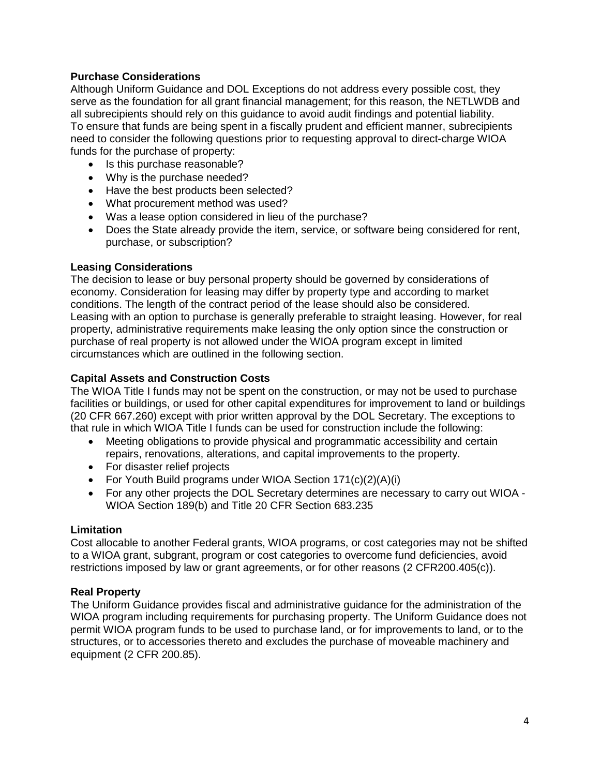# **Purchase Considerations**

Although Uniform Guidance and DOL Exceptions do not address every possible cost, they serve as the foundation for all grant financial management; for this reason, the NETLWDB and all subrecipients should rely on this guidance to avoid audit findings and potential liability. To ensure that funds are being spent in a fiscally prudent and efficient manner, subrecipients need to consider the following questions prior to requesting approval to direct-charge WIOA funds for the purchase of property:

- Is this purchase reasonable?
- Why is the purchase needed?
- Have the best products been selected?
- What procurement method was used?
- Was a lease option considered in lieu of the purchase?
- Does the State already provide the item, service, or software being considered for rent, purchase, or subscription?

#### **Leasing Considerations**

The decision to lease or buy personal property should be governed by considerations of economy. Consideration for leasing may differ by property type and according to market conditions. The length of the contract period of the lease should also be considered. Leasing with an option to purchase is generally preferable to straight leasing. However, for real property, administrative requirements make leasing the only option since the construction or purchase of real property is not allowed under the WIOA program except in limited circumstances which are outlined in the following section.

## **Capital Assets and Construction Costs**

The WIOA Title I funds may not be spent on the construction, or may not be used to purchase facilities or buildings, or used for other capital expenditures for improvement to land or buildings (20 CFR 667.260) except with prior written approval by the DOL Secretary. The exceptions to that rule in which WIOA Title I funds can be used for construction include the following:

- Meeting obligations to provide physical and programmatic accessibility and certain repairs, renovations, alterations, and capital improvements to the property.
- For disaster relief projects
- For Youth Build programs under WIOA Section 171(c)(2)(A)(i)
- For any other projects the DOL Secretary determines are necessary to carry out WIOA WIOA Section 189(b) and Title 20 CFR Section 683.235

#### **Limitation**

Cost allocable to another Federal grants, WIOA programs, or cost categories may not be shifted to a WIOA grant, subgrant, program or cost categories to overcome fund deficiencies, avoid restrictions imposed by law or grant agreements, or for other reasons (2 CFR200.405(c)).

#### **Real Property**

The Uniform Guidance provides fiscal and administrative guidance for the administration of the WIOA program including requirements for purchasing property. The Uniform Guidance does not permit WIOA program funds to be used to purchase land, or for improvements to land, or to the structures, or to accessories thereto and excludes the purchase of moveable machinery and equipment (2 CFR 200.85).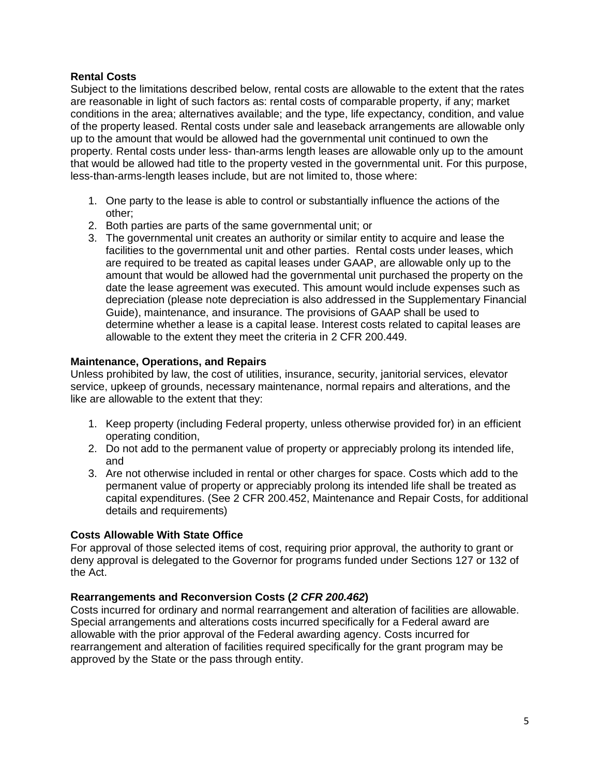# **Rental Costs**

Subject to the limitations described below, rental costs are allowable to the extent that the rates are reasonable in light of such factors as: rental costs of comparable property, if any; market conditions in the area; alternatives available; and the type, life expectancy, condition, and value of the property leased. Rental costs under sale and leaseback arrangements are allowable only up to the amount that would be allowed had the governmental unit continued to own the property. Rental costs under less- than-arms length leases are allowable only up to the amount that would be allowed had title to the property vested in the governmental unit. For this purpose, less-than-arms-length leases include, but are not limited to, those where:

- 1. One party to the lease is able to control or substantially influence the actions of the other;
- 2. Both parties are parts of the same governmental unit; or
- 3. The governmental unit creates an authority or similar entity to acquire and lease the facilities to the governmental unit and other parties. Rental costs under leases, which are required to be treated as capital leases under GAAP, are allowable only up to the amount that would be allowed had the governmental unit purchased the property on the date the lease agreement was executed. This amount would include expenses such as depreciation (please note depreciation is also addressed in the Supplementary Financial Guide), maintenance, and insurance. The provisions of GAAP shall be used to determine whether a lease is a capital lease. Interest costs related to capital leases are allowable to the extent they meet the criteria in 2 CFR 200.449.

# **Maintenance, Operations, and Repairs**

Unless prohibited by law, the cost of utilities, insurance, security, janitorial services, elevator service, upkeep of grounds, necessary maintenance, normal repairs and alterations, and the like are allowable to the extent that they:

- 1. Keep property (including Federal property, unless otherwise provided for) in an efficient operating condition,
- 2. Do not add to the permanent value of property or appreciably prolong its intended life, and
- 3. Are not otherwise included in rental or other charges for space. Costs which add to the permanent value of property or appreciably prolong its intended life shall be treated as capital expenditures. (See 2 CFR 200.452, Maintenance and Repair Costs, for additional details and requirements)

## **Costs Allowable With State Office**

For approval of those selected items of cost, requiring prior approval, the authority to grant or deny approval is delegated to the Governor for programs funded under Sections 127 or 132 of the Act.

## **Rearrangements and Reconversion Costs (***2 CFR 200.462***)**

Costs incurred for ordinary and normal rearrangement and alteration of facilities are allowable. Special arrangements and alterations costs incurred specifically for a Federal award are allowable with the prior approval of the Federal awarding agency. Costs incurred for rearrangement and alteration of facilities required specifically for the grant program may be approved by the State or the pass through entity.